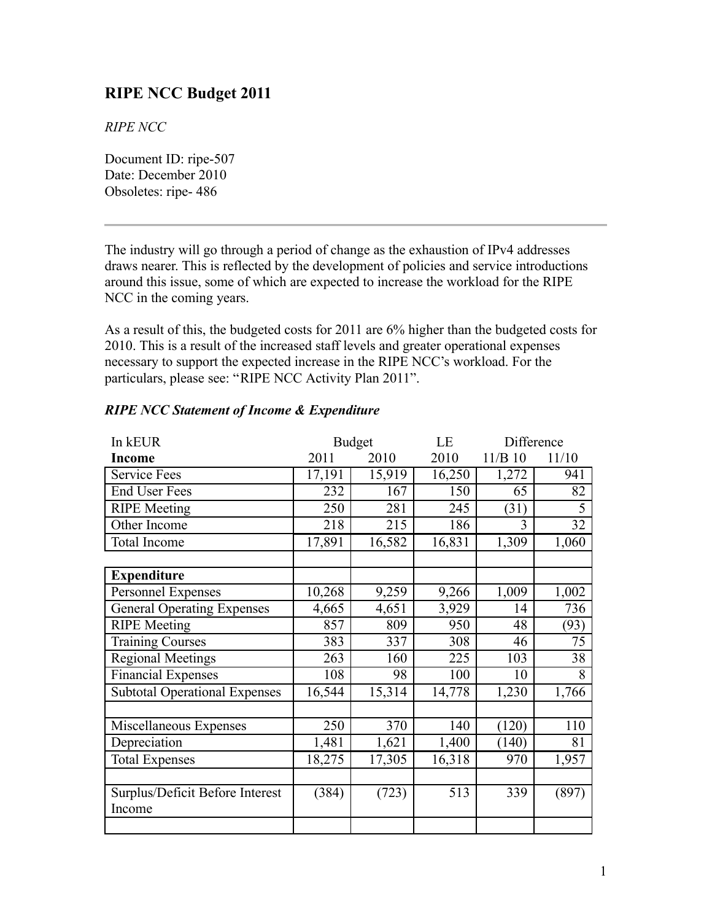# **RIPE NCC Budget 2011**

*RIPE NCC*

Document ID: ripe-507 Date: December 2010 Obsoletes: ripe- 486

The industry will go through a period of change as the exhaustion of IPv4 addresses draws nearer. This is reflected by the development of policies and service introductions around this issue, some of which are expected to increase the workload for the RIPE NCC in the coming years.

As a result of this, the budgeted costs for 2011 are 6% higher than the budgeted costs for 2010. This is a result of the increased staff levels and greater operational expenses necessary to support the expected increase in the RIPE NCC's workload. For the particulars, please see: "RIPE NCC Activity Plan 2011".

| In kEUR                              | <b>Budget</b> |        | LE     | Difference |       |
|--------------------------------------|---------------|--------|--------|------------|-------|
| <b>Income</b>                        | 2011          | 2010   | 2010   | $11/B$ 10  | 11/10 |
| <b>Service Fees</b>                  | 17,191        | 15,919 | 16,250 | 1,272      | 941   |
| <b>End User Fees</b>                 | 232           | 167    | 150    | 65         | 82    |
| <b>RIPE</b> Meeting                  | 250           | 281    | 245    | (31)       | 5     |
| Other Income                         | 218           | 215    | 186    | 3          | 32    |
| <b>Total Income</b>                  | 17,891        | 16,582 | 16,831 | 1,309      | 1,060 |
|                                      |               |        |        |            |       |
| <b>Expenditure</b>                   |               |        |        |            |       |
| Personnel Expenses                   | 10,268        | 9,259  | 9,266  | 1,009      | 1,002 |
| <b>General Operating Expenses</b>    | 4,665         | 4,651  | 3,929  | 14         | 736   |
| <b>RIPE</b> Meeting                  | 857           | 809    | 950    | 48         | (93)  |
| <b>Training Courses</b>              | 383           | 337    | 308    | 46         | 75    |
| <b>Regional Meetings</b>             | 263           | 160    | 225    | 103        | 38    |
| Financial Expenses                   | 108           | 98     | 100    | 10         | 8     |
| <b>Subtotal Operational Expenses</b> | 16,544        | 15,314 | 14,778 | 1,230      | 1,766 |
|                                      |               |        |        |            |       |
| Miscellaneous Expenses               | 250           | 370    | 140    | (120)      | 110   |
| Depreciation                         | 1,481         | 1,621  | 1,400  | (140)      | 81    |
| <b>Total Expenses</b>                | 18,275        | 17,305 | 16,318 | 970        | 1,957 |
|                                      |               |        |        |            |       |
| Surplus/Deficit Before Interest      | (384)         | (723)  | 513    | 339        | (897) |
| Income                               |               |        |        |            |       |
|                                      |               |        |        |            |       |

### *RIPE NCC Statement of Income & Expenditure*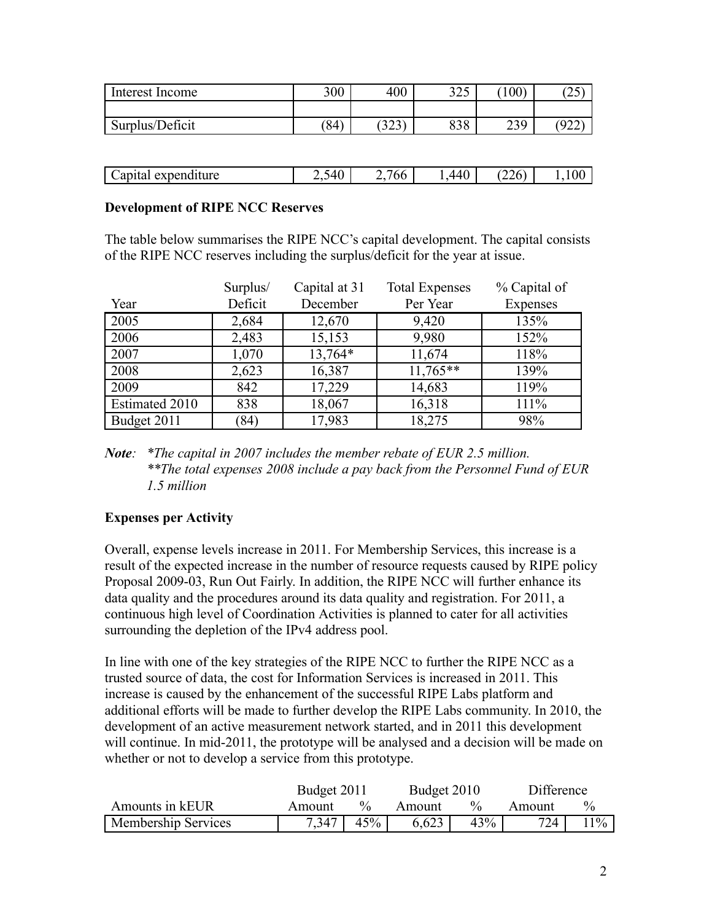| Interest Income | 300  | 400          | 225<br>ر ∠ر | (100) | رے         |
|-----------------|------|--------------|-------------|-------|------------|
|                 |      |              |             |       |            |
| Surplus/Deficit | (84) | (22)<br>ل ⊿ل | 838         | 239   | 001،<br>∠∠ |

| <br>anıta:<br>avnan<br>$\lambda$ penditure | $\sim$<br>-<br>۰. | '66<br>— | . .<br>$\sqrt{1}$<br>$-$<br>$\cdot$<br>. | $\sim$ $\sim$<br>$\overline{\phantom{a}}$<br>∠∠∪ | <sup>1</sup> |
|--------------------------------------------|-------------------|----------|------------------------------------------|--------------------------------------------------|--------------|

#### **Development of RIPE NCC Reserves**

The table below summarises the RIPE NCC's capital development. The capital consists of the RIPE NCC reserves including the surplus/deficit for the year at issue.

|                | Surplus/ | Capital at 31 | <b>Total Expenses</b> | % Capital of |
|----------------|----------|---------------|-----------------------|--------------|
| Year           | Deficit  | December      | Per Year              | Expenses     |
| 2005           | 2,684    | 12,670        | 9,420                 | 135%         |
| 2006           | 2,483    | 15,153        | 9,980                 | 152%         |
| 2007           | 1,070    | 13,764*       | 11,674                | 118%         |
| 2008           | 2,623    | 16,387        | $11,765**$            | 139%         |
| 2009           | 842      | 17,229        | 14,683                | 119%         |
| Estimated 2010 | 838      | 18,067        | 16,318                | 111%         |
| Budget 2011    | (84)     | 17,983        | 18,275                | 98%          |

*Note: \*The capital in 2007 includes the member rebate of EUR 2.5 million. \*\*The total expenses 2008 include a pay back from the Personnel Fund of EUR 1.5 million*

#### **Expenses per Activity**

Overall, expense levels increase in 2011. For Membership Services, this increase is a result of the expected increase in the number of resource requests caused by RIPE policy Proposal 2009-03, Run Out Fairly. In addition, the RIPE NCC will further enhance its data quality and the procedures around its data quality and registration. For 2011, a continuous high level of Coordination Activities is planned to cater for all activities surrounding the depletion of the IPv4 address pool.

In line with one of the key strategies of the RIPE NCC to further the RIPE NCC as a trusted source of data, the cost for Information Services is increased in 2011. This increase is caused by the enhancement of the successful RIPE Labs platform and additional efforts will be made to further develop the RIPE Labs community. In 2010, the development of an active measurement network started, and in 2011 this development will continue. In mid-2011, the prototype will be analysed and a decision will be made on whether or not to develop a service from this prototype.

|                            | Budget 2011 |      | Budget 2010 |               | Difference |       |
|----------------------------|-------------|------|-------------|---------------|------------|-------|
| Amounts in kEUR            | Amount      | $\%$ | Amount      | $\frac{0}{0}$ | Amount     |       |
| <b>Membership Services</b> | 7,347       | 45%  | 6,623       | 43%           | 724        | $1\%$ |